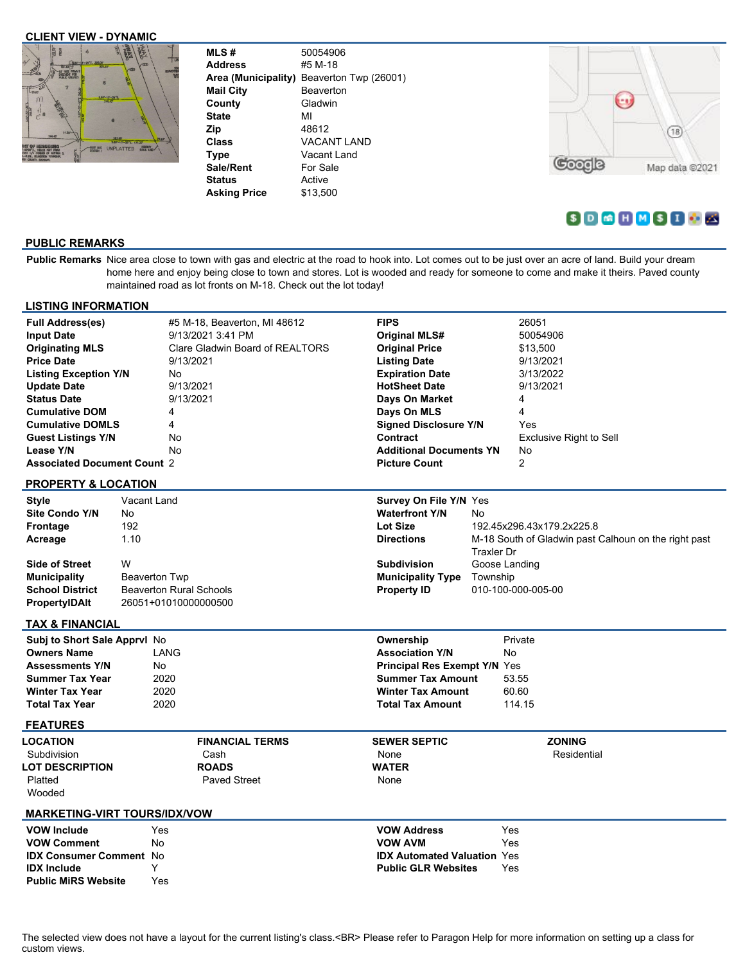## **CLIENT VIEW - DYNAMIC**



| <b>MLS#</b>         | 50054906              |
|---------------------|-----------------------|
| <b>Address</b>      | #5 M-18               |
| Area (Municipality) | Beaverton Twp (26001) |
| <b>Mail City</b>    | Beaverton             |
| County              | Gladwin               |
| <b>State</b>        | MI                    |
| Zip                 | 48612                 |
| Class               | <b>VACANT LAND</b>    |
| <b>Type</b>         | Vacant Land           |
| <b>Sale/Rent</b>    | For Sale              |
| <b>Status</b>       | Active                |
| Asking Price        | \$13.500              |
|                     |                       |



# $S$  D  $G$  H  $M$   $S$  I  $O$

# **PUBLIC REMARKS**

Public Remarks Nice area close to town with gas and electric at the road to hook into. Lot comes out to be just over an acre of land. Build your dream home here and enjoy being close to town and stores. Lot is wooded and ready for someone to come and make it theirs. Paved county maintained road as lot fronts on M-18. Check out the lot today!

| <b>LISTING INFORMATION</b>          |                      |                                 |                              |                             |                                     |                   |                                                      |  |  |
|-------------------------------------|----------------------|---------------------------------|------------------------------|-----------------------------|-------------------------------------|-------------------|------------------------------------------------------|--|--|
| <b>Full Address(es)</b>             |                      |                                 | #5 M-18, Beaverton, MI 48612 |                             | <b>FIPS</b>                         |                   | 26051                                                |  |  |
| <b>Input Date</b>                   | 9/13/2021 3:41 PM    |                                 |                              |                             | <b>Original MLS#</b>                |                   | 50054906                                             |  |  |
| <b>Originating MLS</b>              |                      | Clare Gladwin Board of REALTORS |                              |                             | <b>Original Price</b>               |                   | \$13,500                                             |  |  |
| <b>Price Date</b>                   |                      |                                 | 9/13/2021                    |                             | <b>Listing Date</b>                 |                   | 9/13/2021                                            |  |  |
| <b>Listing Exception Y/N</b>        |                      | No                              |                              |                             | <b>Expiration Date</b>              |                   | 3/13/2022                                            |  |  |
| <b>Update Date</b>                  |                      | 9/13/2021                       |                              |                             | <b>HotSheet Date</b>                |                   | 9/13/2021                                            |  |  |
| <b>Status Date</b>                  |                      | 9/13/2021                       |                              |                             | Days On Market                      |                   | 4                                                    |  |  |
| <b>Cumulative DOM</b>               |                      | 4                               |                              |                             | Days On MLS                         |                   | 4                                                    |  |  |
| <b>Cumulative DOMLS</b>             |                      | 4                               |                              |                             | <b>Signed Disclosure Y/N</b>        |                   | Yes                                                  |  |  |
| <b>Guest Listings Y/N</b>           |                      | No                              |                              |                             | Contract                            |                   | Exclusive Right to Sell                              |  |  |
| Lease Y/N                           |                      | No                              |                              |                             | <b>Additional Documents YN</b>      |                   | No                                                   |  |  |
| <b>Associated Document Count 2</b>  |                      |                                 |                              |                             |                                     |                   | $\overline{2}$                                       |  |  |
|                                     |                      |                                 |                              |                             | <b>Picture Count</b>                |                   |                                                      |  |  |
| <b>PROPERTY &amp; LOCATION</b>      |                      |                                 |                              |                             |                                     |                   |                                                      |  |  |
| Style                               | Vacant Land          |                                 |                              |                             | Survey On File Y/N Yes              |                   |                                                      |  |  |
| Site Condo Y/N                      | No                   |                                 |                              | <b>Waterfront Y/N</b><br>No |                                     |                   |                                                      |  |  |
| Frontage                            | 192                  |                                 |                              |                             | <b>Lot Size</b>                     |                   | 192.45x296.43x179.2x225.8                            |  |  |
| Acreage                             | 1.10                 |                                 |                              |                             | <b>Directions</b>                   |                   | M-18 South of Gladwin past Calhoun on the right past |  |  |
|                                     |                      |                                 |                              |                             |                                     | <b>Traxler Dr</b> |                                                      |  |  |
| <b>Side of Street</b>               | W                    |                                 |                              |                             | <b>Subdivision</b>                  |                   | Goose Landing                                        |  |  |
| <b>Municipality</b>                 | <b>Beaverton Twp</b> |                                 |                              |                             | <b>Municipality Type</b>            |                   | Township<br>010-100-000-005-00                       |  |  |
| <b>School District</b>              |                      | <b>Beaverton Rural Schools</b>  |                              |                             | <b>Property ID</b>                  |                   |                                                      |  |  |
| PropertyIDAIt                       | 26051+01010000000500 |                                 |                              |                             |                                     |                   |                                                      |  |  |
| <b>TAX &amp; FINANCIAL</b>          |                      |                                 |                              |                             |                                     |                   |                                                      |  |  |
| Subj to Short Sale Apprvl No        |                      |                                 |                              |                             | Ownership                           |                   | Private                                              |  |  |
| <b>Owners Name</b>                  |                      | LANG                            |                              |                             | <b>Association Y/N</b>              |                   | No                                                   |  |  |
|                                     |                      |                                 |                              |                             | <b>Principal Res Exempt Y/N Yes</b> |                   |                                                      |  |  |
| <b>Assessments Y/N</b>              |                      | No                              |                              |                             |                                     |                   |                                                      |  |  |
| <b>Summer Tax Year</b>              |                      | 2020                            |                              |                             | <b>Summer Tax Amount</b>            |                   | 53.55                                                |  |  |
| <b>Winter Tax Year</b>              |                      | 2020                            |                              |                             | <b>Winter Tax Amount</b>            |                   | 60.60                                                |  |  |
| <b>Total Tax Year</b>               |                      | 2020                            |                              |                             | <b>Total Tax Amount</b>             |                   | 114.15                                               |  |  |
| <b>FEATURES</b>                     |                      |                                 |                              |                             |                                     |                   |                                                      |  |  |
| LOCATION                            |                      |                                 | <b>FINANCIAL TERMS</b>       |                             | <b>SEWER SEPTIC</b>                 |                   | <b>ZONING</b>                                        |  |  |
| Subdivision                         |                      |                                 | Cash                         |                             | None                                |                   | Residential                                          |  |  |
| <b>LOT DESCRIPTION</b>              |                      |                                 | <b>ROADS</b>                 |                             | <b>WATER</b>                        |                   |                                                      |  |  |
| Platted                             |                      |                                 | <b>Paved Street</b>          |                             | None                                |                   |                                                      |  |  |
| Wooded                              |                      |                                 |                              |                             |                                     |                   |                                                      |  |  |
|                                     |                      |                                 |                              |                             |                                     |                   |                                                      |  |  |
| <b>MARKETING-VIRT TOURS/IDX/VOW</b> |                      |                                 |                              |                             |                                     |                   |                                                      |  |  |
| <b>VOW Include</b>                  |                      | Yes                             |                              |                             | <b>VOW Address</b>                  |                   | Yes                                                  |  |  |
| <b>VOW Comment</b>                  |                      | <b>No</b>                       |                              |                             | <b>VOW AVM</b>                      |                   | Yes                                                  |  |  |
| <b>IDX Consumer Comment No</b>      |                      |                                 |                              |                             | <b>IDX Automated Valuation Yes</b>  |                   |                                                      |  |  |
| <b>IDX Include</b>                  |                      | Y                               |                              |                             | <b>Public GLR Websites</b>          |                   | Yes                                                  |  |  |
|                                     |                      | Yes                             |                              |                             |                                     |                   |                                                      |  |  |
| <b>Public MiRS Website</b>          |                      |                                 |                              |                             |                                     |                   |                                                      |  |  |

The selected view does not have a layout for the current listing's class.<BR> Please refer to Paragon Help for more information on setting up a class for custom views.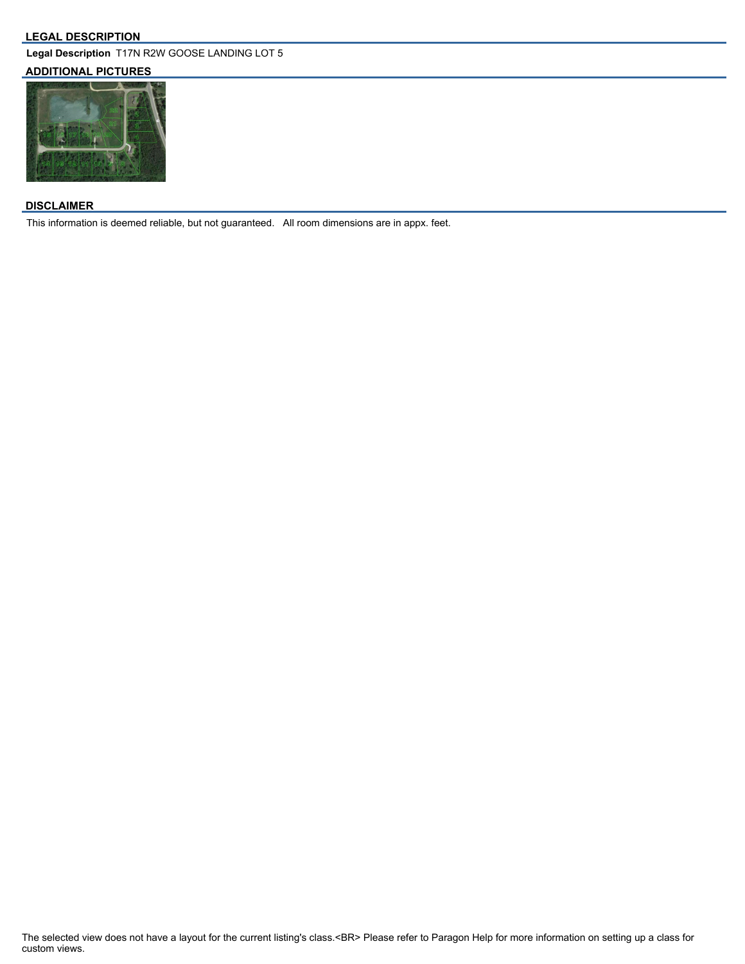#### **LEGAL DESCRIPTION**

**Legal Description** T17N R2W GOOSE LANDING LOT 5

# **ADDITIONAL PICTURES**



### **DISCLAIMER**

This information is deemed reliable, but not guaranteed. All room dimensions are in appx. feet.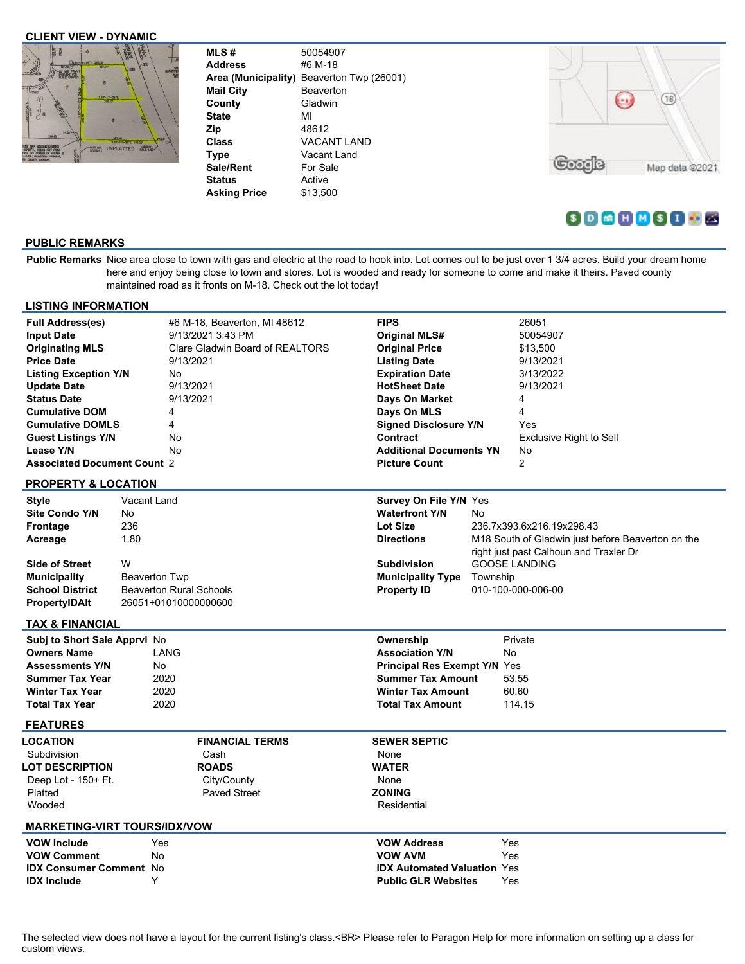## **CLIENT VIEW - DYNAMIC**



| 50054907                                     |
|----------------------------------------------|
| #6 M-18                                      |
| Area (Municipality)<br>Beaverton Twp (26001) |
| <b>Beaverton</b>                             |
| Gladwin                                      |
| мі                                           |
| 48612                                        |
| VACANT LAND                                  |
| Vacant Land                                  |
| For Sale                                     |
| Active                                       |
| \$13.500                                     |
|                                              |



# $S$  D  $G$  H  $M$   $S$  I  $O$

# **PUBLIC REMARKS**

Public Remarks Nice area close to town with gas and electric at the road to hook into. Lot comes out to be just over 1 3/4 acres. Build your dream home here and enjoy being close to town and stores. Lot is wooded and ready for someone to come and make it theirs. Paved county maintained road as it fronts on M-18. Check out the lot today!

| <b>LISTING INFORMATION</b>          |                                                        |                   |                              |                         |                                     |                    |                                                   |  |
|-------------------------------------|--------------------------------------------------------|-------------------|------------------------------|-------------------------|-------------------------------------|--------------------|---------------------------------------------------|--|
| <b>Full Address(es)</b>             |                                                        |                   | #6 M-18, Beaverton, MI 48612 |                         | <b>FIPS</b>                         |                    | 26051                                             |  |
| <b>Input Date</b>                   |                                                        | 9/13/2021 3:43 PM |                              |                         | <b>Original MLS#</b>                |                    | 50054907                                          |  |
| <b>Originating MLS</b>              | Clare Gladwin Board of REALTORS                        |                   |                              | <b>Original Price</b>   |                                     | \$13,500           |                                                   |  |
| <b>Price Date</b>                   |                                                        | 9/13/2021         |                              |                         | <b>Listing Date</b>                 |                    | 9/13/2021                                         |  |
| <b>Listing Exception Y/N</b>        |                                                        | No                |                              |                         | <b>Expiration Date</b>              |                    | 3/13/2022                                         |  |
| <b>Update Date</b>                  |                                                        |                   | 9/13/2021                    |                         | <b>HotSheet Date</b>                |                    | 9/13/2021                                         |  |
| <b>Status Date</b>                  |                                                        |                   | 9/13/2021                    |                         | Days On Market                      |                    | 4                                                 |  |
| <b>Cumulative DOM</b>               |                                                        | 4                 |                              |                         | Days On MLS                         |                    | 4                                                 |  |
| <b>Cumulative DOMLS</b>             |                                                        | 4                 |                              |                         | <b>Signed Disclosure Y/N</b>        |                    | Yes                                               |  |
| <b>Guest Listings Y/N</b>           |                                                        | No                |                              |                         | Contract                            |                    | <b>Exclusive Right to Sell</b>                    |  |
| Lease Y/N                           |                                                        | <b>No</b>         |                              |                         | <b>Additional Documents YN</b>      |                    | No                                                |  |
| <b>Associated Document Count 2</b>  |                                                        |                   |                              |                         | <b>Picture Count</b>                |                    | $\overline{2}$                                    |  |
|                                     |                                                        |                   |                              |                         |                                     |                    |                                                   |  |
| <b>PROPERTY &amp; LOCATION</b>      |                                                        |                   |                              |                         |                                     |                    |                                                   |  |
| <b>Style</b>                        | Vacant Land                                            |                   |                              |                         | <b>Survey On File Y/N Yes</b>       |                    |                                                   |  |
| <b>Site Condo Y/N</b>               | No                                                     |                   |                              |                         | <b>Waterfront Y/N</b>               | No                 |                                                   |  |
| <b>Frontage</b>                     | 236                                                    |                   |                              |                         | <b>Lot Size</b>                     |                    | 236.7x393.6x216.19x298.43                         |  |
| Acreage                             | 1.80                                                   |                   |                              |                         | <b>Directions</b>                   |                    | M18 South of Gladwin just before Beaverton on the |  |
|                                     |                                                        |                   |                              |                         |                                     |                    | right just past Calhoun and Traxler Dr            |  |
| <b>Side of Street</b>               | W                                                      |                   |                              |                         | <b>Subdivision</b>                  |                    | <b>GOOSE LANDING</b>                              |  |
| <b>Municipality</b>                 | <b>Beaverton Twp</b>                                   |                   |                              |                         | <b>Municipality Type</b>            | Township           |                                                   |  |
| <b>School District</b>              |                                                        |                   |                              |                         | <b>Property ID</b>                  | 010-100-000-006-00 |                                                   |  |
| <b>PropertyIDAIt</b>                | <b>Beaverton Rural Schools</b><br>26051+01010000000600 |                   |                              |                         |                                     |                    |                                                   |  |
|                                     |                                                        |                   |                              |                         |                                     |                    |                                                   |  |
| <b>TAX &amp; FINANCIAL</b>          |                                                        |                   |                              |                         |                                     |                    |                                                   |  |
| Subj to Short Sale Apprvl No        |                                                        |                   |                              |                         | Ownership                           |                    | Private                                           |  |
| <b>Owners Name</b>                  |                                                        | LANG              |                              |                         | <b>Association Y/N</b>              | <b>No</b>          |                                                   |  |
| <b>Assessments Y/N</b>              |                                                        | No.               |                              |                         | <b>Principal Res Exempt Y/N Yes</b> |                    |                                                   |  |
| <b>Summer Tax Year</b>              |                                                        | 2020              |                              |                         | <b>Summer Tax Amount</b>            |                    | 53.55                                             |  |
| <b>Winter Tax Year</b>              |                                                        | 2020              |                              |                         | <b>Winter Tax Amount</b>            |                    | 60.60                                             |  |
| <b>Total Tax Year</b>               |                                                        | 2020              |                              | <b>Total Tax Amount</b> |                                     |                    | 114.15                                            |  |
| <b>FEATURES</b>                     |                                                        |                   |                              |                         |                                     |                    |                                                   |  |
| LOCATION                            |                                                        |                   | <b>FINANCIAL TERMS</b>       |                         | <b>SEWER SEPTIC</b>                 |                    |                                                   |  |
| Subdivision                         |                                                        |                   | Cash                         |                         | None                                |                    |                                                   |  |
| <b>LOT DESCRIPTION</b>              |                                                        |                   | <b>ROADS</b>                 |                         | <b>WATER</b>                        |                    |                                                   |  |
| Deep Lot - 150+ Ft.                 |                                                        |                   | City/County                  |                         | None                                |                    |                                                   |  |
| Platted                             |                                                        |                   | <b>Paved Street</b>          |                         | <b>ZONING</b>                       |                    |                                                   |  |
| Wooded                              |                                                        |                   |                              |                         | Residential                         |                    |                                                   |  |
|                                     |                                                        |                   |                              |                         |                                     |                    |                                                   |  |
| <b>MARKETING-VIRT TOURS/IDX/VOW</b> |                                                        |                   |                              |                         |                                     |                    |                                                   |  |
| Yes<br><b>VOW Include</b>           |                                                        |                   |                              | <b>VOW Address</b>      |                                     | Yes                |                                                   |  |
| <b>VOW Comment</b>                  |                                                        | No                |                              |                         | Yes<br><b>VOW AVM</b>               |                    |                                                   |  |
|                                     | <b>IDX Consumer Comment No</b>                         |                   |                              |                         | <b>IDX Automated Valuation Yes</b>  |                    |                                                   |  |
| <b>IDX Include</b>                  |                                                        | Y                 |                              |                         | <b>Public GLR Websites</b>          |                    | Yes                                               |  |
|                                     |                                                        |                   |                              |                         |                                     |                    |                                                   |  |

The selected view does not have a layout for the current listing's class.<BR> Please refer to Paragon Help for more information on setting up a class for custom views.